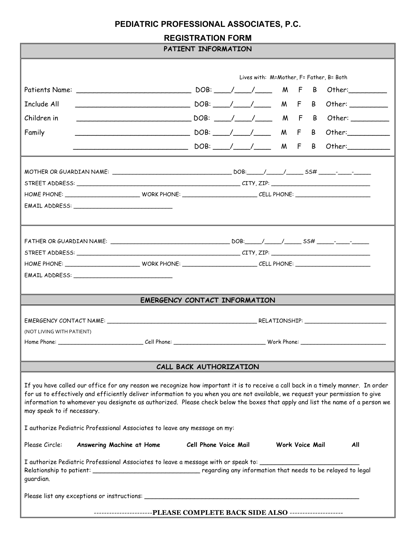# **PEDIATRIC PROFESSIONAL ASSOCIATES, P.C.**

## **REGISTRATION FORM**

### **PATIENT INFORMATION**

| PATIENT INFORMATION                                                                                                                                                                                                                                                                                                                                                                                                                                                                                              |                                          |  |  |  |  |                        |                                                                                                                                                                                                                               |  |  |  |  |  |
|------------------------------------------------------------------------------------------------------------------------------------------------------------------------------------------------------------------------------------------------------------------------------------------------------------------------------------------------------------------------------------------------------------------------------------------------------------------------------------------------------------------|------------------------------------------|--|--|--|--|------------------------|-------------------------------------------------------------------------------------------------------------------------------------------------------------------------------------------------------------------------------|--|--|--|--|--|
|                                                                                                                                                                                                                                                                                                                                                                                                                                                                                                                  |                                          |  |  |  |  |                        |                                                                                                                                                                                                                               |  |  |  |  |  |
|                                                                                                                                                                                                                                                                                                                                                                                                                                                                                                                  | Lives with: M=Mother, F= Father, B= Both |  |  |  |  |                        |                                                                                                                                                                                                                               |  |  |  |  |  |
|                                                                                                                                                                                                                                                                                                                                                                                                                                                                                                                  |                                          |  |  |  |  |                        |                                                                                                                                                                                                                               |  |  |  |  |  |
| $DOB:$ $/$ $/$ $/$ $M F B$<br><b>Include All</b>                                                                                                                                                                                                                                                                                                                                                                                                                                                                 |                                          |  |  |  |  |                        | Other: ________                                                                                                                                                                                                               |  |  |  |  |  |
| Children in                                                                                                                                                                                                                                                                                                                                                                                                                                                                                                      |                                          |  |  |  |  |                        |                                                                                                                                                                                                                               |  |  |  |  |  |
| DOB: ____/____/_____ M F B<br>Family                                                                                                                                                                                                                                                                                                                                                                                                                                                                             |                                          |  |  |  |  |                        |                                                                                                                                                                                                                               |  |  |  |  |  |
| $DOB:$ $/$ $/$ $/$ $M F B$                                                                                                                                                                                                                                                                                                                                                                                                                                                                                       |                                          |  |  |  |  |                        | Other: when the control of the control of the control of the control of the control of the control of the control of the control of the control of the control of the control of the control of the control of the control of |  |  |  |  |  |
|                                                                                                                                                                                                                                                                                                                                                                                                                                                                                                                  |                                          |  |  |  |  |                        |                                                                                                                                                                                                                               |  |  |  |  |  |
|                                                                                                                                                                                                                                                                                                                                                                                                                                                                                                                  |                                          |  |  |  |  |                        |                                                                                                                                                                                                                               |  |  |  |  |  |
|                                                                                                                                                                                                                                                                                                                                                                                                                                                                                                                  |                                          |  |  |  |  |                        |                                                                                                                                                                                                                               |  |  |  |  |  |
|                                                                                                                                                                                                                                                                                                                                                                                                                                                                                                                  |                                          |  |  |  |  |                        |                                                                                                                                                                                                                               |  |  |  |  |  |
|                                                                                                                                                                                                                                                                                                                                                                                                                                                                                                                  |                                          |  |  |  |  |                        |                                                                                                                                                                                                                               |  |  |  |  |  |
|                                                                                                                                                                                                                                                                                                                                                                                                                                                                                                                  |                                          |  |  |  |  |                        |                                                                                                                                                                                                                               |  |  |  |  |  |
|                                                                                                                                                                                                                                                                                                                                                                                                                                                                                                                  |                                          |  |  |  |  |                        |                                                                                                                                                                                                                               |  |  |  |  |  |
|                                                                                                                                                                                                                                                                                                                                                                                                                                                                                                                  |                                          |  |  |  |  |                        |                                                                                                                                                                                                                               |  |  |  |  |  |
|                                                                                                                                                                                                                                                                                                                                                                                                                                                                                                                  |                                          |  |  |  |  |                        |                                                                                                                                                                                                                               |  |  |  |  |  |
|                                                                                                                                                                                                                                                                                                                                                                                                                                                                                                                  |                                          |  |  |  |  |                        |                                                                                                                                                                                                                               |  |  |  |  |  |
| EMERGENCY CONTACT INFORMATION                                                                                                                                                                                                                                                                                                                                                                                                                                                                                    |                                          |  |  |  |  |                        |                                                                                                                                                                                                                               |  |  |  |  |  |
|                                                                                                                                                                                                                                                                                                                                                                                                                                                                                                                  |                                          |  |  |  |  |                        |                                                                                                                                                                                                                               |  |  |  |  |  |
| (NOT LIVING WITH PATIENT)                                                                                                                                                                                                                                                                                                                                                                                                                                                                                        |                                          |  |  |  |  |                        |                                                                                                                                                                                                                               |  |  |  |  |  |
|                                                                                                                                                                                                                                                                                                                                                                                                                                                                                                                  |                                          |  |  |  |  |                        |                                                                                                                                                                                                                               |  |  |  |  |  |
|                                                                                                                                                                                                                                                                                                                                                                                                                                                                                                                  |                                          |  |  |  |  |                        |                                                                                                                                                                                                                               |  |  |  |  |  |
|                                                                                                                                                                                                                                                                                                                                                                                                                                                                                                                  | CALL BACK AUTHORIZATION                  |  |  |  |  |                        |                                                                                                                                                                                                                               |  |  |  |  |  |
| If you have called our office for any reason we recognize how important it is to receive a call back in a timely manner. In order<br>for us to effectively and efficiently deliver information to you when you are not available, we request your permission to give<br>information to whomever you designate as authorized. Please check below the boxes that apply and list the name of a person we<br>may speak to if necessary.<br>I authorize Pediatric Professional Associates to leave any message on my: |                                          |  |  |  |  |                        |                                                                                                                                                                                                                               |  |  |  |  |  |
|                                                                                                                                                                                                                                                                                                                                                                                                                                                                                                                  |                                          |  |  |  |  |                        |                                                                                                                                                                                                                               |  |  |  |  |  |
| Please Circle:<br>Answering Machine at Home                                                                                                                                                                                                                                                                                                                                                                                                                                                                      | Cell Phone Voice Mail                    |  |  |  |  | <b>Work Voice Mail</b> | All                                                                                                                                                                                                                           |  |  |  |  |  |
| I authorize Pediatric Professional Associates to leave a message with or speak to: _________<br>guardian.                                                                                                                                                                                                                                                                                                                                                                                                        |                                          |  |  |  |  |                        |                                                                                                                                                                                                                               |  |  |  |  |  |
|                                                                                                                                                                                                                                                                                                                                                                                                                                                                                                                  |                                          |  |  |  |  |                        |                                                                                                                                                                                                                               |  |  |  |  |  |
| -----------------------PLEASE COMPLETE BACK SIDE ALSO ---------------------                                                                                                                                                                                                                                                                                                                                                                                                                                      |                                          |  |  |  |  |                        |                                                                                                                                                                                                                               |  |  |  |  |  |